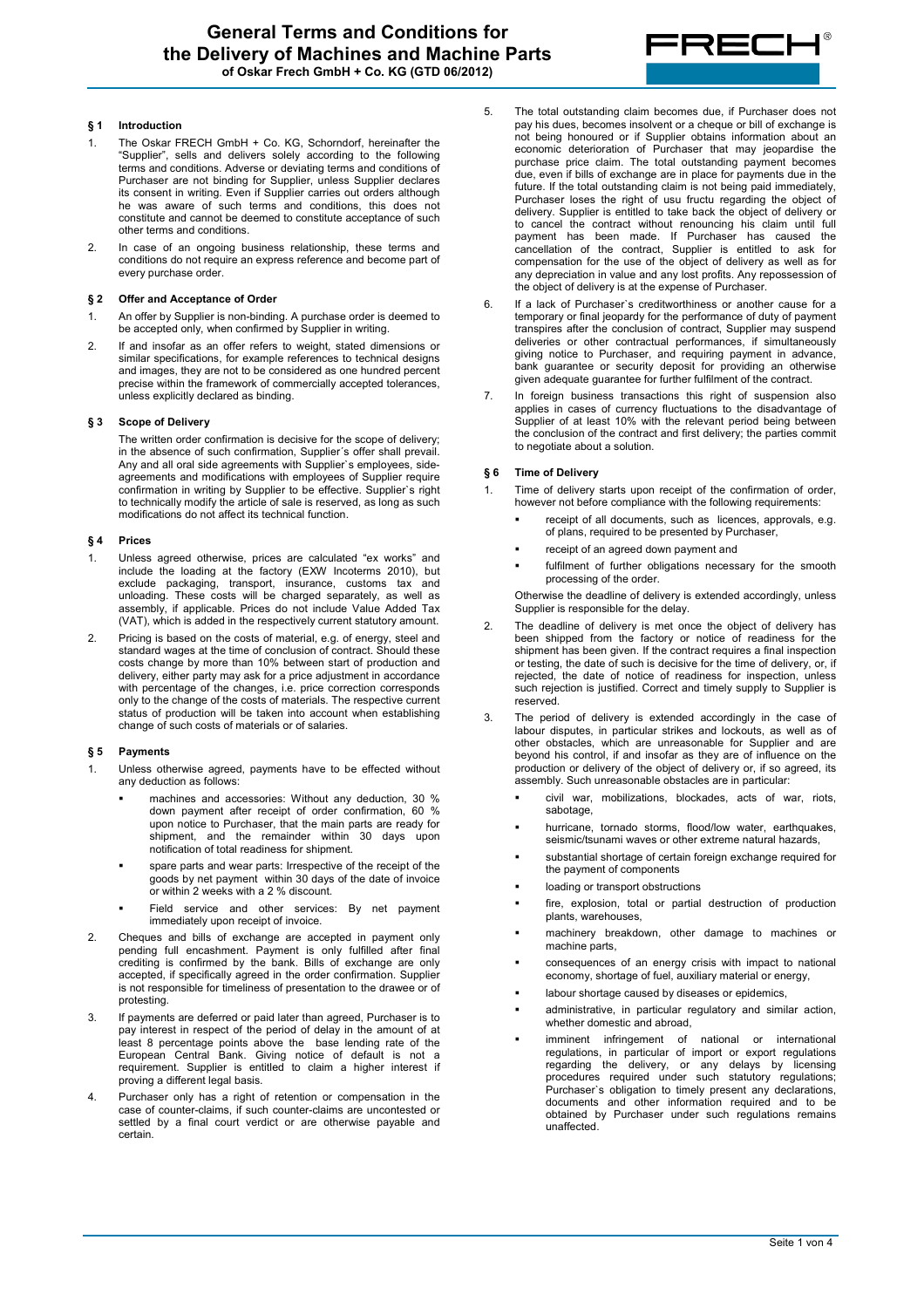

# **§ 1 Introduction**

- 1. The Oskar FRECH GmbH + Co. KG, Schorndorf, hereinafter the "Supplier", sells and delivers solely according to the following terms and conditions. Adverse or deviating terms and conditions of Purchaser are not binding for Supplier, unless Supplier declares its consent in writing. Even if Supplier carries out orders although he was aware of such terms and conditions, this does not constitute and cannot be deemed to constitute acceptance of such other terms and conditions.
- 2. In case of an ongoing business relationship, these terms and conditions do not require an express reference and become part of every purchase order.

### **§ 2 Offer and Acceptance of Order**

- 1. An offer by Supplier is non-binding. A purchase order is deemed to be accepted only, when confirmed by Supplier in writing.
- 2. If and insofar as an offer refers to weight, stated dimensions or similar specifications, for example references to technical designs and images, they are not to be considered as one hundred percent precise within the framework of commercially accepted tolerances, unless explicitly declared as binding.

# **§ 3 Scope of Delivery**

The written order confirmation is decisive for the scope of delivery; in the absence of such confirmation, Supplier´s offer shall prevail. Any and all oral side agreements with Supplier`s employees, sideagreements and modifications with employees of Supplier require confirmation in writing by Supplier to be effective. Supplier`s right to technically modify the article of sale is reserved, as long as such modifications do not affect its technical function.

### **§ 4 Prices**

- 1. Unless agreed otherwise, prices are calculated "ex works" and include the loading at the factory (EXW Incoterms 2010), but exclude packaging, transport, insurance, customs tax and unloading. These costs will be charged separately, as well as assembly, if applicable. Prices do not include Value Added Tax (VAT), which is added in the respectively current statutory amount.
- 2. Pricing is based on the costs of material, e.g. of energy, steel and standard wages at the time of conclusion of contract. Should these costs change by more than 10% between start of production and delivery, either party may ask for a price adjustment in accordance with percentage of the changes, i.e. price correction corresponds only to the change of the costs of materials. The respective current status of production will be taken into account when establishing change of such costs of materials or of salaries.

#### **§ 5 Payments**

- 1. Unless otherwise agreed, payments have to be effected without any deduction as follows:
	- machines and accessories: Without any deduction, 30 % down payment after receipt of order confirmation, 60 % upon notice to Purchaser, that the main parts are ready for shipment, and the remainder within 30 days upon notification of total readiness for shipment.
	- spare parts and wear parts: Irrespective of the receipt of the goods by net payment within 30 days of the date of invoice or within 2 weeks with a 2 % discount.
	- Field service and other services: By net payment immediately upon receipt of invoice.
- 2. Cheques and bills of exchange are accepted in payment only pending full encashment. Payment is only fulfilled after final crediting is confirmed by the bank. Bills of exchange are only accepted, if specifically agreed in the order confirmation. Supplier is not responsible for timeliness of presentation to the drawee or of protesting.
- 3. If payments are deferred or paid later than agreed, Purchaser is to pay interest in respect of the period of delay in the amount of at least 8 percentage points above the base lending rate of the European Central Bank. Giving notice of default is not a requirement. Supplier is entitled to claim a higher interest if proving a different legal basis.
- 4. Purchaser only has a right of retention or compensation in the case of counter-claims, if such counter-claims are uncontested or settled by a final court verdict or are otherwise payable and certain.
- 5. The total outstanding claim becomes due, if Purchaser does not pay his dues, becomes insolvent or a cheque or bill of exchange is not being honoured or if Supplier obtains information about an economic deterioration of Purchaser that may jeopardise the purchase price claim. The total outstanding payment becomes due, even if bills of exchange are in place for payments due in the future. If the total outstanding claim is not being paid immediately, Purchaser loses the right of usu fructu regarding the object of delivery. Supplier is entitled to take back the object of delivery or to cancel the contract without renouncing his claim until full payment has been made. If Purchaser has caused the cancellation of the contract, Supplier is entitled to ask for compensation for the use of the object of delivery as well as for any depreciation in value and any lost profits. Any repossession of the object of delivery is at the expense of Purchaser.
- 6. If a lack of Purchaser`s creditworthiness or another cause for a temporary or final jeopardy for the performance of duty of payment transpires after the conclusion of contract, Supplier may suspend deliveries or other contractual performances, if simultaneously giving notice to Purchaser, and requiring payment in advance, bank guarantee or security deposit for providing an otherwise given adequate guarantee for further fulfilment of the contract.
- 7. In foreign business transactions this right of suspension also applies in cases of currency fluctuations to the disadvantage of Supplier of at least 10% with the relevant period being between the conclusion of the contract and first delivery; the parties commit to negotiate about a solution.

# **§ 6 Time of Delivery**

- 1. Time of delivery starts upon receipt of the confirmation of order, however not before compliance with the following requirements:
	- receipt of all documents, such as licences, approvals, e.g. of plans, required to be presented by Purchaser,
	- receipt of an agreed down payment and
	- fulfilment of further obligations necessary for the smooth processing of the order.

Otherwise the deadline of delivery is extended accordingly, unless Supplier is responsible for the delay.

- 2. The deadline of delivery is met once the object of delivery has been shipped from the factory or notice of readiness for the shipment has been given. If the contract requires a final inspection or testing, the date of such is decisive for the time of delivery, or, if rejected, the date of notice of readiness for inspection, unless such rejection is justified. Correct and timely supply to Supplier is reserved.
- 3. The period of delivery is extended accordingly in the case of labour disputes, in particular strikes and lockouts, as well as of other obstacles, which are unreasonable for Supplier and are beyond his control, if and insofar as they are of influence on the production or delivery of the object of delivery or, if so agreed, its assembly. Such unreasonable obstacles are in particular:
	- civil war, mobilizations, blockades, acts of war, riots, sabotage,
	- hurricane, tornado storms, flood/low water, earthquakes, seismic/tsunami waves or other extreme natural hazards,
	- substantial shortage of certain foreign exchange required for the payment of components
	- loading or transport obstructions
	- fire, explosion, total or partial destruction of production plants, warehouses,
	- machinery breakdown, other damage to machines or machine parts.
	- consequences of an energy crisis with impact to national economy, shortage of fuel, auxiliary material or energy,
	- labour shortage caused by diseases or epidemics,
	- administrative, in particular regulatory and similar action, whether domestic and abroad,
	- imminent infringement of national or international regulations, in particular of import or export regulations regarding the delivery, or any delays by licensing procedures required under such statutory regulations; Purchaser`s obligation to timely present any declarations, documents and other information required and to be obtained by Purchaser under such regulations remains unaffected.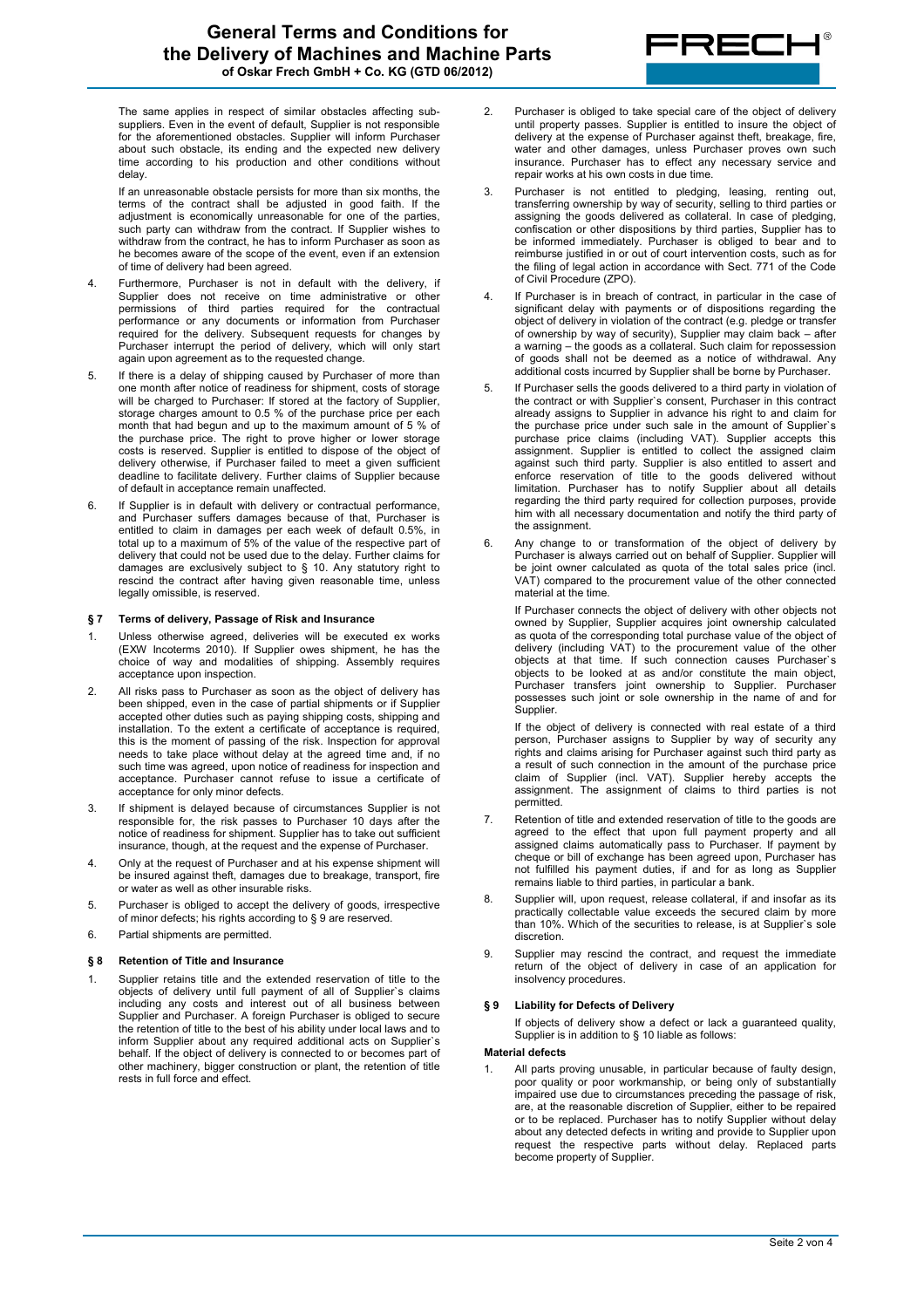

The same applies in respect of similar obstacles affecting subsuppliers. Even in the event of default, Supplier is not responsible for the aforementioned obstacles. Supplier will inform Purchaser about such obstacle, its ending and the expected new delivery time according to his production and other conditions without delay.

If an unreasonable obstacle persists for more than six months, the terms of the contract shall be adjusted in good faith. If the adjustment is economically unreasonable for one of the parties, such party can withdraw from the contract. If Supplier wishes to withdraw from the contract, he has to inform Purchaser as soon as he becomes aware of the scope of the event, even if an extension of time of delivery had been agreed.

- 4. Furthermore, Purchaser is not in default with the delivery, if Supplier does not receive on time administrative or other permissions of third parties required for the contractual performance or any documents or information from Purchaser required for the delivery. Subsequent requests for changes by Purchaser interrupt the period of delivery, which will only start again upon agreement as to the requested change.
- 5. If there is a delay of shipping caused by Purchaser of more than one month after notice of readiness for shipment, costs of storage will be charged to Purchaser: If stored at the factory of Supplier, storage charges amount to 0.5 % of the purchase price per each month that had begun and up to the maximum amount of 5 % of the purchase price. The right to prove higher or lower storage costs is reserved. Supplier is entitled to dispose of the object of delivery otherwise, if Purchaser failed to meet a given sufficient deadline to facilitate delivery. Further claims of Supplier because of default in acceptance remain unaffected.
- 6. If Supplier is in default with delivery or contractual performance, and Purchaser suffers damages because of that, Purchaser is entitled to claim in damages per each week of default 0.5%, in total up to a maximum of 5% of the value of the respective part of delivery that could not be used due to the delay. Further claims for damages are exclusively subject to § 10. Any statutory right to rescind the contract after having given reasonable time, unless legally omissible, is reserved.

# **§ 7 Terms of delivery, Passage of Risk and Insurance**

- 1. Unless otherwise agreed, deliveries will be executed ex works (EXW Incoterms 2010). If Supplier owes shipment, he has the choice of way and modalities of shipping. Assembly requires acceptance upon inspection.
- 2. All risks pass to Purchaser as soon as the object of delivery has been shipped, even in the case of partial shipments or if Supplier accepted other duties such as paying shipping costs, shipping and installation. To the extent a certificate of acceptance is required, this is the moment of passing of the risk. Inspection for approval needs to take place without delay at the agreed time and, if no such time was agreed, upon notice of readiness for inspection and acceptance. Purchaser cannot refuse to issue a certificate of acceptance for only minor defects.
- 3. If shipment is delayed because of circumstances Supplier is not responsible for, the risk passes to Purchaser 10 days after the notice of readiness for shipment. Supplier has to take out sufficient insurance, though, at the request and the expense of Purchaser.
- 4. Only at the request of Purchaser and at his expense shipment will be insured against theft, damages due to breakage, transport, fire or water as well as other insurable risks.
- 5. Purchaser is obliged to accept the delivery of goods, irrespective of minor defects; his rights according to § 9 are reserved.
- 6. Partial shipments are permitted.

#### **§ 8 Retention of Title and Insurance**

1. Supplier retains title and the extended reservation of title to the objects of delivery until full payment of all of Supplier`s claims including any costs and interest out of all business between Supplier and Purchaser. A foreign Purchaser is obliged to secure the retention of title to the best of his ability under local laws and to inform Supplier about any required additional acts on Supplier`s behalf. If the object of delivery is connected to or becomes part of other machinery, bigger construction or plant, the retention of title rests in full force and effect.

- 2. Purchaser is obliged to take special care of the object of delivery until property passes. Supplier is entitled to insure the object of delivery at the expense of Purchaser against theft, breakage, fire, water and other damages, unless Purchaser proves own such insurance. Purchaser has to effect any necessary service and repair works at his own costs in due time.
- 3. Purchaser is not entitled to pledging, leasing, renting out, transferring ownership by way of security, selling to third parties or assigning the goods delivered as collateral. In case of pledging, confiscation or other dispositions by third parties, Supplier has to be informed immediately. Purchaser is obliged to bear and to reimburse justified in or out of court intervention costs, such as for the filing of legal action in accordance with Sect. 771 of the Code of Civil Procedure (ZPO).
- 4. If Purchaser is in breach of contract, in particular in the case of significant delay with payments or of dispositions regarding the object of delivery in violation of the contract (e.g. pledge or transfer of ownership by way of security), Supplier may claim back – after a warning – the goods as a collateral. Such claim for repossession of goods shall not be deemed as a notice of withdrawal. Any additional costs incurred by Supplier shall be borne by Purchaser.
- 5. If Purchaser sells the goods delivered to a third party in violation of the contract or with Supplier`s consent, Purchaser in this contract already assigns to Supplier in advance his right to and claim for the purchase price under such sale in the amount of Supplier`s purchase price claims (including VAT). Supplier accepts this assignment. Supplier is entitled to collect the assigned claim against such third party. Supplier is also entitled to assert and enforce reservation of title to the goods delivered without limitation. Purchaser has to notify Supplier about all details regarding the third party required for collection purposes, provide him with all necessary documentation and notify the third party of the assignment.
- 6. Any change to or transformation of the object of delivery by Purchaser is always carried out on behalf of Supplier. Supplier will be joint owner calculated as quota of the total sales price (incl. VAT) compared to the procurement value of the other connected material at the time.

If Purchaser connects the object of delivery with other objects not owned by Supplier, Supplier acquires joint ownership calculated as quota of the corresponding total purchase value of the object of delivery (including VAT) to the procurement value of the other objects at that time. If such connection causes Purchaser`s objects to be looked at as and/or constitute the main object, Purchaser transfers joint ownership to Supplier. Purchaser possesses such joint or sole ownership in the name of and for Supplier.

If the object of delivery is connected with real estate of a third person, Purchaser assigns to Supplier by way of security any rights and claims arising for Purchaser against such third party as a result of such connection in the amount of the purchase price claim of Supplier (incl. VAT). Supplier hereby accepts the assignment. The assignment of claims to third parties is not permitted.

- 7. Retention of title and extended reservation of title to the goods are agreed to the effect that upon full payment property and all assigned claims automatically pass to Purchaser. If payment by cheque or bill of exchange has been agreed upon, Purchaser has not fulfilled his payment duties, if and for as long as Supplier remains liable to third parties, in particular a bank.
- 8. Supplier will, upon request, release collateral, if and insofar as its practically collectable value exceeds the secured claim by more than 10%. Which of the securities to release, is at Supplier's sole discretion.
- 9. Supplier may rescind the contract, and request the immediate return of the object of delivery in case of an application for insolvency procedures.

## **§ 9 Liability for Defects of Delivery**

If objects of delivery show a defect or lack a guaranteed quality, Supplier is in addition to § 10 liable as follows:

### **Material defects**

1. All parts proving unusable, in particular because of faulty design, poor quality or poor workmanship, or being only of substantially impaired use due to circumstances preceding the passage of risk, are, at the reasonable discretion of Supplier, either to be repaired or to be replaced. Purchaser has to notify Supplier without delay about any detected defects in writing and provide to Supplier upon request the respective parts without delay. Replaced parts become property of Supplier.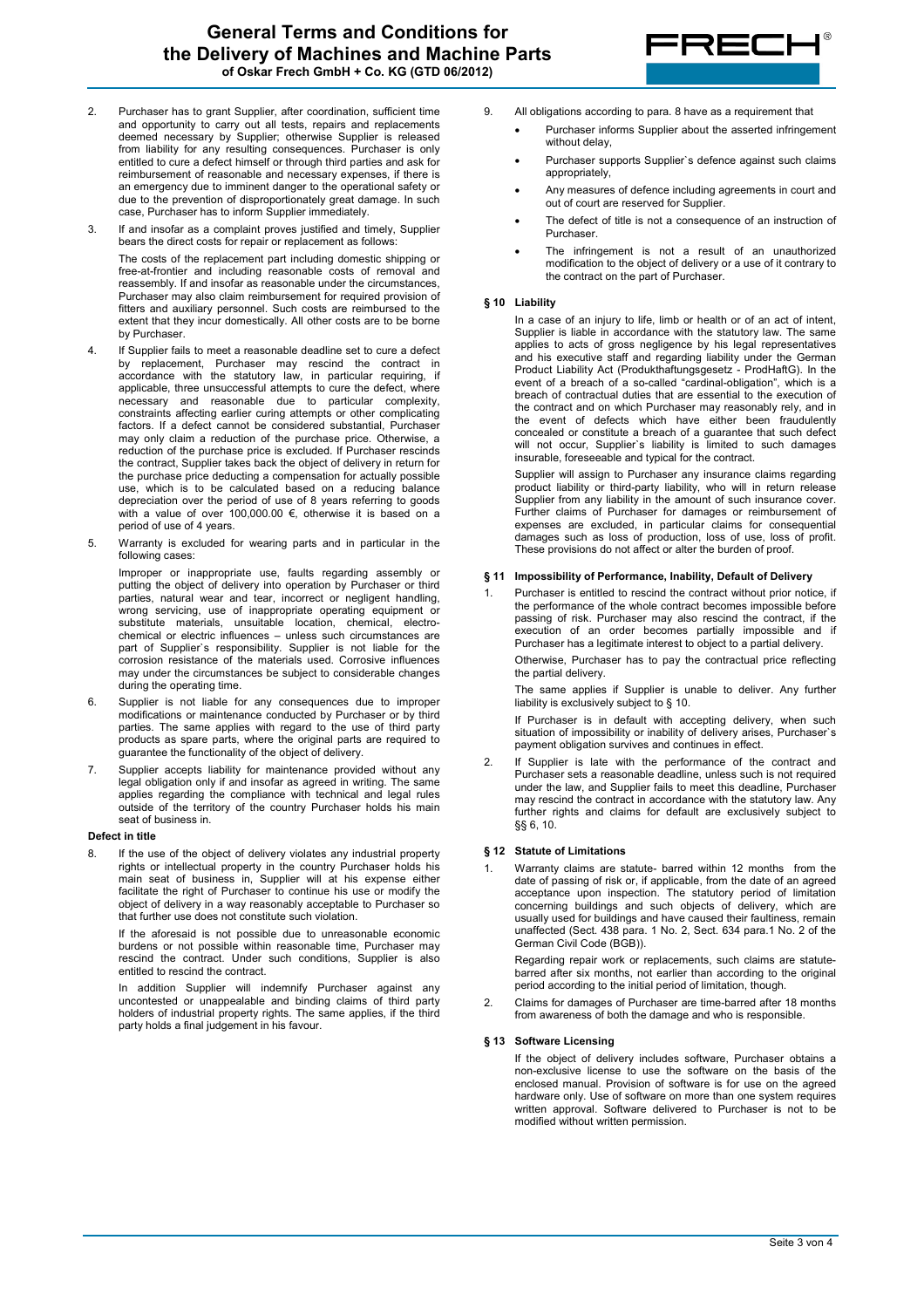

- 2. Purchaser has to grant Supplier, after coordination, sufficient time and opportunity to carry out all tests, repairs and replacements deemed necessary by Supplier; otherwise Supplier is released from liability for any resulting consequences. Purchaser is only entitled to cure a defect himself or through third parties and ask for reimbursement of reasonable and necessary expenses, if there is an emergency due to imminent danger to the operational safety or due to the prevention of disproportionately great damage. In such case, Purchaser has to inform Supplier immediately.
- 3. If and insofar as a complaint proves justified and timely, Supplier bears the direct costs for repair or replacement as follows:

The costs of the replacement part including domestic shipping or free-at-frontier and including reasonable costs of removal and reassembly. If and insofar as reasonable under the circumstances, Purchaser may also claim reimbursement for required provision of fitters and auxiliary personnel. Such costs are reimbursed to the extent that they incur domestically. All other costs are to be borne by Purchaser.

- 4. If Supplier fails to meet a reasonable deadline set to cure a defect by replacement, Purchaser may rescind the contract in accordance with the statutory law, in particular requiring, if applicable, three unsuccessful attempts to cure the defect, where necessary and reasonable due to particular complexity, constraints affecting earlier curing attempts or other complicating factors. If a defect cannot be considered substantial, Purchaser may only claim a reduction of the purchase price. Otherwise, a reduction of the purchase price is excluded. If Purchaser rescinds the contract, Supplier takes back the object of delivery in return for the purchase price deducting a compensation for actually possible use, which is to be calculated based on a reducing balance depreciation over the period of use of 8 years referring to goods with a value of over 100,000.00 €, otherwise it is based on a period of use of 4 years.
- 5. Warranty is excluded for wearing parts and in particular in the following cases:

Improper or inappropriate use, faults regarding assembly or putting the object of delivery into operation by Purchaser or third parties, natural wear and tear, incorrect or negligent handling, wrong servicing, use of inappropriate operating equipment or substitute materials, unsuitable location, chemical, electrochemical or electric influences – unless such circumstances are part of Supplier`s responsibility. Supplier is not liable for the corrosion resistance of the materials used. Corrosive influences may under the circumstances be subject to considerable changes during the operating time.

- 6. Supplier is not liable for any consequences due to improper modifications or maintenance conducted by Purchaser or by third parties. The same applies with regard to the use of third party products as spare parts, where the original parts are required to guarantee the functionality of the object of delivery.
- 7. Supplier accepts liability for maintenance provided without any legal obligation only if and insofar as agreed in writing. The same applies regarding the compliance with technical and legal rules outside of the territory of the country Purchaser holds his main seat of business in.

#### **Defect in title**

If the use of the object of delivery violates any industrial property rights or intellectual property in the country Purchaser holds his main seat of business in, Supplier will at his expense either facilitate the right of Purchaser to continue his use or modify the object of delivery in a way reasonably acceptable to Purchaser so that further use does not constitute such violation.

If the aforesaid is not possible due to unreasonable economic burdens or not possible within reasonable time, Purchaser may rescind the contract. Under such conditions, Supplier is also entitled to rescind the contract.

In addition Supplier will indemnify Purchaser against any uncontested or unappealable and binding claims of third party holders of industrial property rights. The same applies, if the third party holds a final judgement in his favour.

- 9. All obligations according to para. 8 have as a requirement that
	- Purchaser informs Supplier about the asserted infringement without delay
	- Purchaser supports Supplier`s defence against such claims appropriately,
	- Any measures of defence including agreements in court and out of court are reserved for Supplier.
	- The defect of title is not a consequence of an instruction of Purchaser.
	- The infringement is not a result of an unauthorized modification to the object of delivery or a use of it contrary to the contract on the part of Purchaser.

### **§ 10 Liability**

In a case of an injury to life, limb or health or of an act of intent, Supplier is liable in accordance with the statutory law. The same applies to acts of gross negligence by his legal representatives and his executive staff and regarding liability under the German Product Liability Act (Produkthaftungsgesetz - ProdHaftG). In the event of a breach of a so-called "cardinal-obligation", which is a breach of contractual duties that are essential to the execution of the contract and on which Purchaser may reasonably rely, and in the event of defects which have either been fraudulently concealed or constitute a breach of a guarantee that such defect will not occur, Supplier`s liability is limited to such damages insurable, foreseeable and typical for the contract.

Supplier will assign to Purchaser any insurance claims regarding product liability or third-party liability, who will in return release Supplier from any liability in the amount of such insurance cover. Further claims of Purchaser for damages or reimbursement of expenses are excluded, in particular claims for consequential damages such as loss of production, loss of use, loss of profit. These provisions do not affect or alter the burden of proof.

### **§ 11 Impossibility of Performance, Inability, Default of Delivery**

Purchaser is entitled to rescind the contract without prior notice, if the performance of the whole contract becomes impossible before passing of risk. Purchaser may also rescind the contract, if the execution of an order becomes partially impossible and if Purchaser has a legitimate interest to object to a partial delivery. Otherwise, Purchaser has to pay the contractual price reflecting the partial delivery.

The same applies if Supplier is unable to deliver. Any further liability is exclusively subject to § 10.

If Purchaser is in default with accepting delivery, when such situation of impossibility or inability of delivery arises, Purchaser's payment obligation survives and continues in effect.

2. If Supplier is late with the performance of the contract and Purchaser sets a reasonable deadline, unless such is not required under the law, and Supplier fails to meet this deadline, Purchaser may rescind the contract in accordance with the statutory law. Any further rights and claims for default are exclusively subject to §§ 6, 10.

# **§ 12 Statute of Limitations**

Warranty claims are statute- barred within 12 months from the date of passing of risk or, if applicable, from the date of an agreed acceptance upon inspection. The statutory period of limitation concerning buildings and such objects of delivery, which are usually used for buildings and have caused their faultiness, remain unaffected (Sect. 438 para. 1 No. 2, Sect. 634 para.1 No. 2 of the German Civil Code (BGB)).

Regarding repair work or replacements, such claims are statutebarred after six months, not earlier than according to the original period according to the initial period of limitation, though.

2. Claims for damages of Purchaser are time-barred after 18 months from awareness of both the damage and who is responsible.

## **§ 13 Software Licensing**

If the object of delivery includes software, Purchaser obtains a non-exclusive license to use the software on the basis of the enclosed manual. Provision of software is for use on the agreed hardware only. Use of software on more than one system requires written approval. Software delivered to Purchaser is not to be modified without written permission.